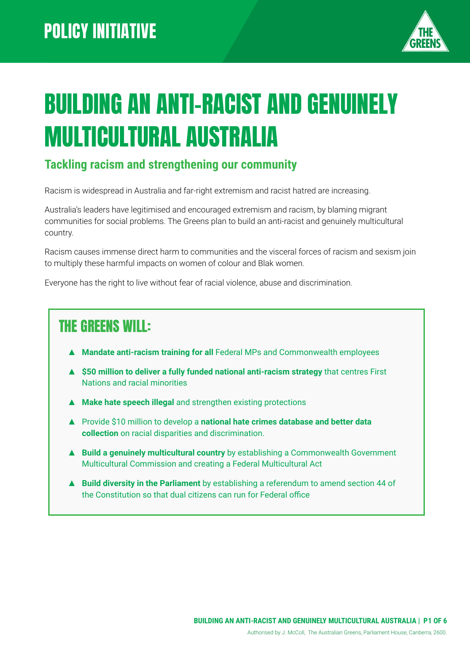

# BUILDING AN ANTI-RACIST AND GENUINELY MULTICULTURAL AUSTRALIA

#### **Tackling racism and strengthening our community**

Racism is widespread in Australia and far-right extremism and racist hatred are increasing.

Australia's leaders have legitimised and encouraged extremism and racism, by blaming migrant communities for social problems. The Greens plan to build an anti-racist and genuinely multicultural country.

Racism causes immense direct harm to communities and the visceral forces of racism and sexism join to multiply these harmful impacts on women of colour and Blak women.

Everyone has the right to live without fear of racial violence, abuse and discrimination.

#### THE GREENS WILL:

- ▲ **Mandate anti-racism training for all** Federal MPs and Commonwealth employees
- ▲ **\$50 million to deliver a fully funded national anti-racism strategy** that centres First Nations and racial minorities
- ▲ **Make hate speech illegal** and strengthen existing protections
- ▲ Provide \$10 million to develop a **national hate crimes database and better data collection** on racial disparities and discrimination.
- ▲ **Build a genuinely multicultural country** by establishing a Commonwealth Government Multicultural Commission and creating a Federal Multicultural Act
- **▲ Build diversity in the Parliament** by establishing a referendum to amend section 44 of the Constitution so that dual citizens can run for Federal office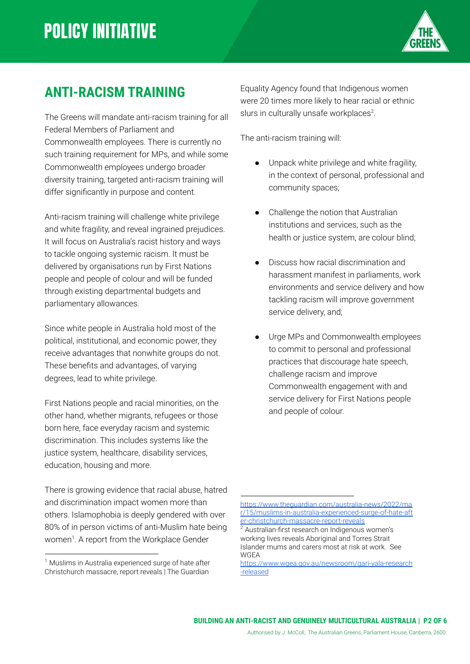

#### **ANTI-RACISM TRAINING**

The Greens will mandate anti-racism training for all Federal Members of Parliament and Commonwealth employees. There is currently no such training requirement for MPs, and while some Commonwealth employees undergo broader diversity training, targeted anti-racism training will differ significantly in purpose and content.

Anti-racism training will challenge white privilege and white fragility, and reveal ingrained prejudices. It will focus on Australia's racist history and ways to tackle ongoing systemic racism. It must be delivered by organisations run by First Nations people and people of colour and will be funded through existing departmental budgets and parliamentary allowances.

Since white people in Australia hold most of the political, institutional, and economic power, they receive advantages that nonwhite groups do not. These benefits and advantages, of varying degrees, lead to white privilege.

First Nations people and racial minorities, on the other hand, whether migrants, refugees or those born here, face everyday racism and systemic discrimination. This includes systems like the justice system, healthcare, disability services, education, housing and more.

There is growing evidence that racial abuse, hatred and discrimination impact women more than others. Islamophobia is deeply gendered with over 80% of in person victims of anti-Muslim hate being women<sup>1</sup>. A report from the Workplace Gender

Equality Agency found that Indigenous women were 20 times more likely to hear racial or ethnic slurs in culturally unsafe workplaces $2$ .

The anti-racism training will:

- Unpack white privilege and white fragility, in the context of personal, professional and community spaces;
- Challenge the notion that Australian institutions and services, such as the health or justice system, are colour blind;
- Discuss how racial discrimination and harassment manifest in parliaments, work environments and service delivery and how tackling racism will improve government service delivery, and;
- Urge MPs and Commonwealth employees to commit to personal and professional practices that discourage hate speech, challenge racism and improve Commonwealth engagement with and service delivery for First Nations people and people of colour.

#### Authorised by J. McColl, The Australian Greens, Parliament House, Canberra, 2600.

 $1$  Muslims in Australia experienced surge of hate after Christchurch massacre, report reveals | The Guardian

[https://www.theguardian.com/australia-news/2022/ma](https://www.theguardian.com/australia-news/2022/mar/15/muslims-in-australia-experienced-surge-of-hate-after-christchurch-massacre-report-reveals) [r/15/muslims-in-australia-experienced-surge-of-hate-aft](https://www.theguardian.com/australia-news/2022/mar/15/muslims-in-australia-experienced-surge-of-hate-after-christchurch-massacre-report-reveals) [er-christchurch-massacre-report-reveals](https://www.theguardian.com/australia-news/2022/mar/15/muslims-in-australia-experienced-surge-of-hate-after-christchurch-massacre-report-reveals)

 $2$  Australian-first research on Indigenous women's working lives reveals Aboriginal and Torres Strait Islander mums and carers most at risk at work. See WGEA

[https://www.wgea.gov.au/newsroom/gari-yala-research](https://www.wgea.gov.au/newsroom/gari-yala-research-released) [-released](https://www.wgea.gov.au/newsroom/gari-yala-research-released)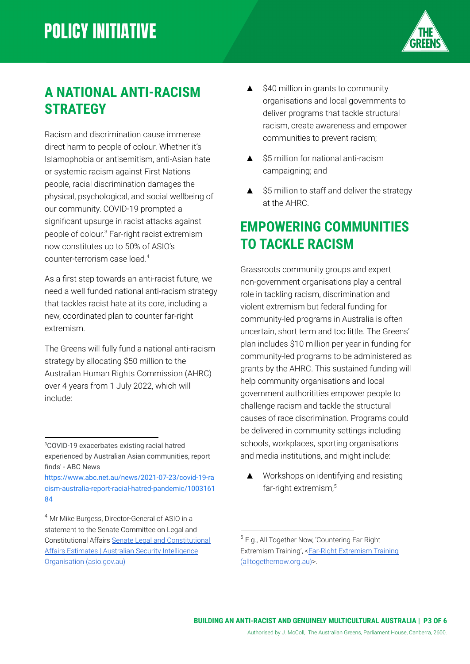

#### **A NATIONAL ANTI-RACISM STRATEGY**

Racism and discrimination cause immense direct harm to people of colour. Whether it's Islamophobia or antisemitism, anti-Asian hate or systemic racism against First Nations people, racial discrimination damages the physical, psychological, and social wellbeing of our community. COVID-19 prompted a significant upsurge in racist attacks against people of colour. <sup>3</sup> Far-right racist extremism now constitutes up to 50% of ASIO's counter-terrorism case load.<sup>4</sup>

As a first step towards an anti-racist future, we need a well funded national anti-racism strategy that tackles racist hate at its core, including a new, coordinated plan to counter far-right extremism.

The Greens will fully fund a national anti-racism strategy by allocating \$50 million to the Australian Human Rights Commission (AHRC) over 4 years from 1 July 2022, which will include:

- ▲ \$40 million in grants to community organisations and local governments to deliver programs that tackle structural racism, create awareness and empower communities to prevent racism;
- ▲ \$5 million for national anti-racism campaigning; and
- ▲ \$5 million to staff and deliver the strategy at the AHRC.

#### **EMPOWERING COMMUNITIES TO TACKLE RACISM**

Grassroots community groups and expert non-government organisations play a central role in tackling racism, discrimination and violent extremism but federal funding for community-led programs in Australia is often uncertain, short term and too little. The Greens' plan includes \$10 million per year in funding for community-led programs to be administered as grants by the AHRC. This sustained funding will help community organisations and local government authoritities empower people to challenge racism and tackle the structural causes of race discrimination. Programs could be delivered in community settings including schools, workplaces, sporting organisations and media institutions, and might include:

▲ Workshops on identifying and resisting far-right extremism,<sup>5</sup>

#### Authorised by J. McColl, The Australian Greens, Parliament House, Canberra, 2600.

<sup>3</sup>COVID-19 exacerbates existing racial hatred experienced by Australian Asian communities, report finds' - ABC News

[https://www.abc.net.au/news/2021-07-23/covid-19-ra](https://www.abc.net.au/news/2021-07-23/covid-19-racism-australia-report-racial-hatred-pandemic/100316184) [cism-australia-report-racial-hatred-pandemic/1003161](https://www.abc.net.au/news/2021-07-23/covid-19-racism-australia-report-racial-hatred-pandemic/100316184) [84](https://www.abc.net.au/news/2021-07-23/covid-19-racism-australia-report-racial-hatred-pandemic/100316184)

<sup>4</sup> Mr Mike Burgess, Director-General of ASIO in a statement to the Senate Committee on Legal and Constitutional Affairs [Senate Legal and Constitutional](https://www.asio.gov.au/publications/speeches-and-statements/senate-legal-and-constitutional-affairs-estimates.html) [Affairs Estimates | Australian Security Intelligence](https://www.asio.gov.au/publications/speeches-and-statements/senate-legal-and-constitutional-affairs-estimates.html) [Organisation \(asio.gov.au\)](https://www.asio.gov.au/publications/speeches-and-statements/senate-legal-and-constitutional-affairs-estimates.html)

<sup>5</sup> E.g., All Together Now, 'Countering Far Right Extremism Training', [<Far-Right Extremism Training](https://alltogethernow.org.au/far-right-extremism-training/) [\(alltogethernow.org.au\)>](https://alltogethernow.org.au/far-right-extremism-training/).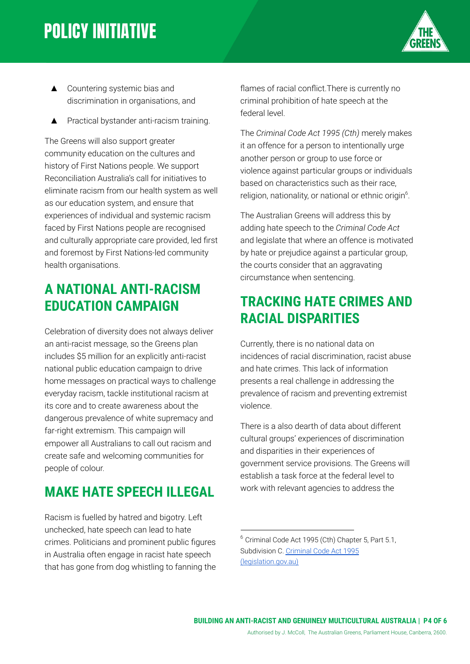# **POLICY INITIATIVE**



- ▲ Countering systemic bias and discrimination in organisations, and
- **Practical bystander anti-racism training.**

The Greens will also support greater community education on the cultures and history of First Nations people. We support Reconciliation Australia's call for initiatives to eliminate racism from our health system as well as our education system, and ensure that experiences of individual and systemic racism faced by First Nations people are recognised and culturally appropriate care provided, led first and foremost by First Nations-led community health organisations.

#### **A NATIONAL ANTI-RACISM EDUCATION CAMPAIGN**

Celebration of diversity does not always deliver an anti-racist message, so the Greens plan includes \$5 million for an explicitly anti-racist national public education campaign to drive home messages on practical ways to challenge everyday racism, tackle institutional racism at its core and to create awareness about the dangerous prevalence of white supremacy and far-right extremism. This campaign will empower all Australians to call out racism and create safe and welcoming communities for people of colour.

#### **MAKE HATE SPEECH ILLEGAL**

Racism is fuelled by hatred and bigotry. Left unchecked, hate speech can lead to hate crimes. Politicians and prominent public figures in Australia often engage in racist hate speech that has gone from dog whistling to fanning the

flames of racial conflict.There is currently no criminal prohibition of hate speech at the federal level.

The *Criminal Code Act 1995 (Cth)* merely makes it an offence for a person to intentionally urge another person or group to use force or violence against particular groups or individuals based on characteristics such as their race, religion, nationality, or national or ethnic origin<sup>6</sup>.

The Australian Greens will address this by adding hate speech to the *Criminal Code Act* and legislate that where an offence is motivated by hate or prejudice against a particular group, the courts consider that an aggravating circumstance when sentencing.

#### **TRACKING HATE CRIMES AND RACIAL DISPARITIES**

Currently, there is no national data on incidences of racial discrimination, racist abuse and hate crimes. This lack of information presents a real challenge in addressing the prevalence of racism and preventing extremist violence.

There is a also dearth of data about different cultural groups' experiences of discrimination and disparities in their experiences of government service provisions. The Greens will establish a task force at the federal level to work with relevant agencies to address the

<sup>6</sup> Criminal Code Act 1995 (Cth) Chapter 5, Part 5.1, Subdivision C. [Criminal Code Act 1995](https://www.legislation.gov.au/Details/C2021C00183) [\(legislation.gov.au\)](https://www.legislation.gov.au/Details/C2021C00183)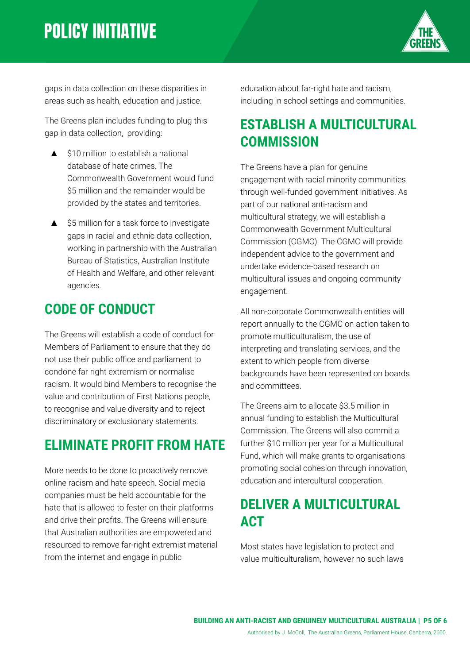# **POLICY INITIATIVE**



gaps in data collection on these disparities in areas such as health, education and justice.

The Greens plan includes funding to plug this gap in data collection, providing:

- ▲ \$10 million to establish a national database of hate crimes. The Commonwealth Government would fund \$5 million and the remainder would be provided by the states and territories.
- ▲ \$5 million for a task force to investigate gaps in racial and ethnic data collection, working in partnership with the Australian Bureau of Statistics, Australian Institute of Health and Welfare, and other relevant agencies.

#### **CODE OF CONDUCT**

The Greens will establish a code of conduct for Members of Parliament to ensure that they do not use their public office and parliament to condone far right extremism or normalise racism. It would bind Members to recognise the value and contribution of First Nations people, to recognise and value diversity and to reject discriminatory or exclusionary statements.

#### **ELIMINATE PROFIT FROM HATE**

More needs to be done to proactively remove online racism and hate speech. Social media companies must be held accountable for the hate that is allowed to fester on their platforms and drive their profits. The Greens will ensure that Australian authorities are empowered and resourced to remove far-right extremist material from the internet and engage in public

education about far-right hate and racism, including in school settings and communities.

#### **ESTABLISH A MULTICULTURAL COMMISSION**

The Greens have a plan for genuine engagement with racial minority communities through well-funded government initiatives. As part of our national anti-racism and multicultural strategy, we will establish a Commonwealth Government Multicultural Commission (CGMC). The CGMC will provide independent advice to the government and undertake evidence-based research on multicultural issues and ongoing community engagement.

All non-corporate Commonwealth entities will report annually to the CGMC on action taken to promote multiculturalism, the use of interpreting and translating services, and the extent to which people from diverse backgrounds have been represented on boards and committees.

The Greens aim to allocate \$3.5 million in annual funding to establish the Multicultural Commission. The Greens will also commit a further \$10 million per year for a Multicultural Fund, which will make grants to organisations promoting social cohesion through innovation, education and intercultural cooperation.

#### **DELIVER A MULTICULTURAL ACT**

Most states have legislation to protect and value multiculturalism, however no such laws